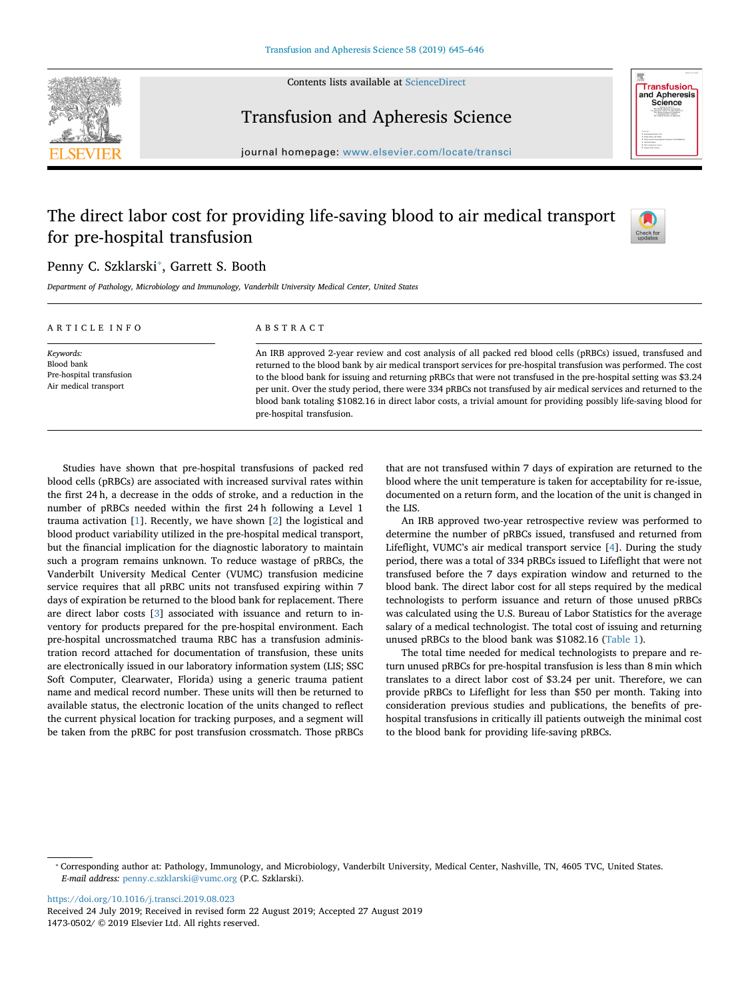

Contents lists available at [ScienceDirect](http://www.sciencedirect.com/science/journal/14730502)



## Transfusion and Apheresis Science

journal homepage: [www.elsevier.com/locate/transci](https://www.elsevier.com/locate/transci)

# The direct labor cost for providing life-saving blood to air medical transport for pre-hospital transfusion



## Penny C. Szklarski<sup>\*</sup>, Garrett S. Booth

*Department of Pathology, Microbiology and Immunology, Vanderbilt University Medical Center, United States*

| ARTICLE INFO                                                                 | ABSTRACT                                                                                                                                                                                                                                                                                                                                                                                                                                                                                                                                                                                                                      |
|------------------------------------------------------------------------------|-------------------------------------------------------------------------------------------------------------------------------------------------------------------------------------------------------------------------------------------------------------------------------------------------------------------------------------------------------------------------------------------------------------------------------------------------------------------------------------------------------------------------------------------------------------------------------------------------------------------------------|
| Keywords:<br>Blood bank<br>Pre-hospital transfusion<br>Air medical transport | An IRB approved 2-year review and cost analysis of all packed red blood cells (pRBCs) issued, transfused and<br>returned to the blood bank by air medical transport services for pre-hospital transfusion was performed. The cost<br>to the blood bank for issuing and returning pRBCs that were not transfused in the pre-hospital setting was \$3.24<br>per unit. Over the study period, there were 334 pRBCs not transfused by air medical services and returned to the<br>blood bank totaling \$1082.16 in direct labor costs, a trivial amount for providing possibly life-saving blood for<br>pre-hospital transfusion. |

Studies have shown that pre-hospital transfusions of packed red blood cells (pRBCs) are associated with increased survival rates within the first 24 h, a decrease in the odds of stroke, and a reduction in the number of pRBCs needed within the first 24 h following a Level 1 trauma activation [[1](#page-1-0)]. Recently, we have shown [[2](#page-1-1)] the logistical and blood product variability utilized in the pre-hospital medical transport, but the financial implication for the diagnostic laboratory to maintain such a program remains unknown. To reduce wastage of pRBCs, the Vanderbilt University Medical Center (VUMC) transfusion medicine service requires that all pRBC units not transfused expiring within 7 days of expiration be returned to the blood bank for replacement. There are direct labor costs [\[3\]](#page-1-2) associated with issuance and return to inventory for products prepared for the pre-hospital environment. Each pre-hospital uncrossmatched trauma RBC has a transfusion administration record attached for documentation of transfusion, these units are electronically issued in our laboratory information system (LIS; SSC Soft Computer, Clearwater, Florida) using a generic trauma patient name and medical record number. These units will then be returned to available status, the electronic location of the units changed to reflect the current physical location for tracking purposes, and a segment will be taken from the pRBC for post transfusion crossmatch. Those pRBCs

that are not transfused within 7 days of expiration are returned to the blood where the unit temperature is taken for acceptability for re-issue, documented on a return form, and the location of the unit is changed in the LIS.

An IRB approved two-year retrospective review was performed to determine the number of pRBCs issued, transfused and returned from Lifeflight, VUMC's air medical transport service [\[4\]](#page-1-3). During the study period, there was a total of 334 pRBCs issued to Lifeflight that were not transfused before the 7 days expiration window and returned to the blood bank. The direct labor cost for all steps required by the medical technologists to perform issuance and return of those unused pRBCs was calculated using the U.S. Bureau of Labor Statistics for the average salary of a medical technologist. The total cost of issuing and returning unused pRBCs to the blood bank was \$1082.16 [\(Table 1\)](#page-1-4).

The total time needed for medical technologists to prepare and return unused pRBCs for pre-hospital transfusion is less than 8 min which translates to a direct labor cost of \$3.24 per unit. Therefore, we can provide pRBCs to Lifeflight for less than \$50 per month. Taking into consideration previous studies and publications, the benefits of prehospital transfusions in critically ill patients outweigh the minimal cost to the blood bank for providing life-saving pRBCs.

<https://doi.org/10.1016/j.transci.2019.08.023>

Received 24 July 2019; Received in revised form 22 August 2019; Accepted 27 August 2019 1473-0502/ © 2019 Elsevier Ltd. All rights reserved.

<span id="page-0-0"></span><sup>⁎</sup> Corresponding author at: Pathology, Immunology, and Microbiology, Vanderbilt University, Medical Center, Nashville, TN, 4605 TVC, United States. *E-mail address:* [penny.c.szklarski@vumc.org](mailto:penny.c.szklarski@vumc.org) (P.C. Szklarski).